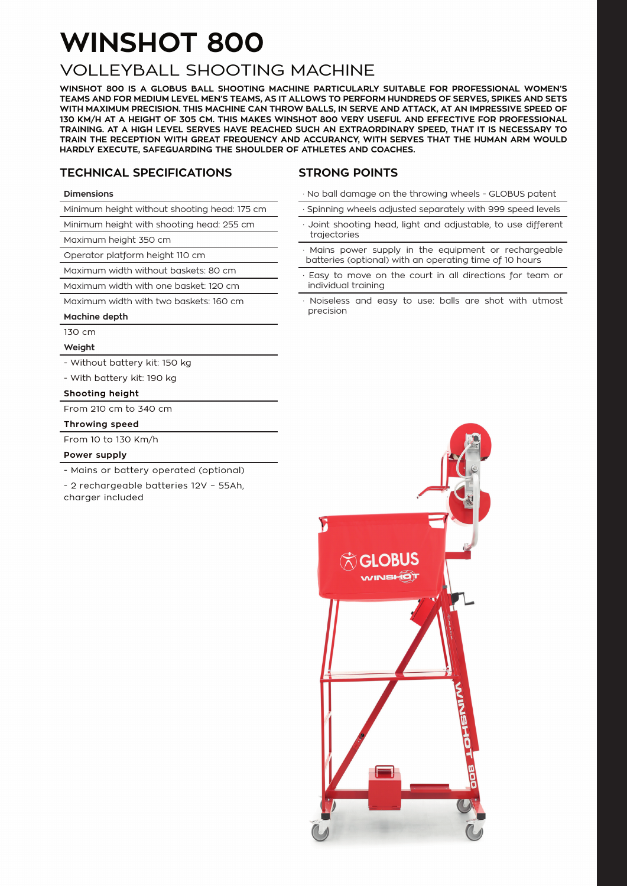## **WINSHOT 800**

### VOLLEYBALL SHOOTING MACHINE

**WINSHOT 800 IS A GLOBUS BALL SHOOTING MACHINE PARTICULARLY SUITABLE FOR PROFESSIONAL WOMEN'S TEAMS AND FOR MEDIUM LEVEL MEN'S TEAMS, AS IT ALLOWS TO PERFORM HUNDREDS OF SERVES, SPIKES AND SETS WITH MAXIMUM PRECISION. THIS MACHINE CAN THROW BALLS, IN SERVE AND ATTACK, AT AN IMPRESSIVE SPEED OF 130 KM/H AT A HEIGHT OF 305 CM. THIS MAKES WINSHOT 800 VERY USEFUL AND EFFECTIVE FOR PROFESSIONAL TRAINING. AT A HIGH LEVEL SERVES HAVE REACHED SUCH AN EXTRAORDINARY SPEED, THAT IT IS NECESSARY TO TRAIN THE RECEPTION WITH GREAT FREQUENCY AND ACCURANCY, WITH SERVES THAT THE HUMAN ARM WOULD HARDLY EXECUTE, SAFEGUARDING THE SHOULDER OF ATHLETES AND COACHES.** 

#### **TECHNICAL SPECIFICATIONS**

#### **STRONG POINTS**

#### **Dimensions**

Minimum height without shooting head: 175 cm

Minimum height with shooting head: 255 cm

Maximum height 350 cm

Operator platform height 110 cm

Maximum width without baskets: 80 cm

Maximum width with one basket: 120 cm

Maximum width with two baskets: 160 cm

#### **Machine depth**

130 cm

**Weight**

- Without battery kit: 150 kg
- With battery kit: 190 kg

#### **Shooting height**

From 210 cm to 340 cm

#### **Throwing speed**

From 10 to 130 Km/h

#### **Power supply**

- Mains or battery operated (optional)

- 2 rechargeable batteries 12V – 55Ah, charger included

- · No ball damage on the throwing wheels GLOBUS patent
- Spinning wheels adjusted separately with 999 speed levels
- Joint shooting head, light and adjustable, to use different trajectories
- Mains power supply in the equipment or rechargeable batteries (optional) with an operating time of 10 hours
- Easy to move on the court in all directions for team or individual training
- Noiseless and easy to use: balls are shot with utmost precision